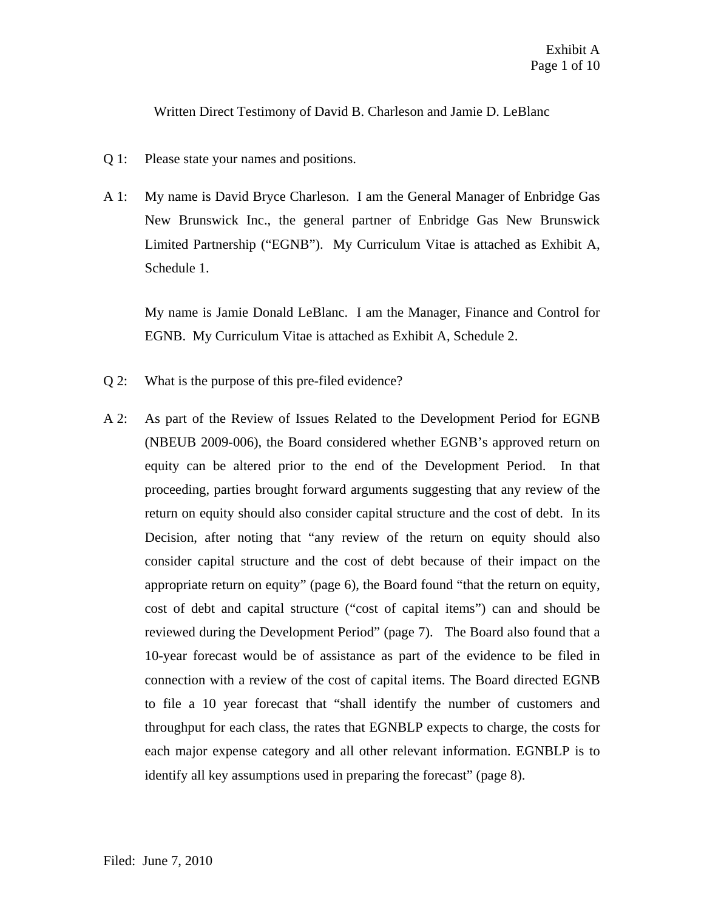Written Direct Testimony of David B. Charleson and Jamie D. LeBlanc

- Q 1: Please state your names and positions.
- A 1: My name is David Bryce Charleson. I am the General Manager of Enbridge Gas New Brunswick Inc., the general partner of Enbridge Gas New Brunswick Limited Partnership ("EGNB"). My Curriculum Vitae is attached as Exhibit A, Schedule 1.

My name is Jamie Donald LeBlanc. I am the Manager, Finance and Control for EGNB. My Curriculum Vitae is attached as Exhibit A, Schedule 2.

- Q 2: What is the purpose of this pre-filed evidence?
- A 2: As part of the Review of Issues Related to the Development Period for EGNB (NBEUB 2009-006), the Board considered whether EGNB's approved return on equity can be altered prior to the end of the Development Period. In that proceeding, parties brought forward arguments suggesting that any review of the return on equity should also consider capital structure and the cost of debt. In its Decision, after noting that "any review of the return on equity should also consider capital structure and the cost of debt because of their impact on the appropriate return on equity" (page 6), the Board found "that the return on equity, cost of debt and capital structure ("cost of capital items") can and should be reviewed during the Development Period" (page 7). The Board also found that a 10-year forecast would be of assistance as part of the evidence to be filed in connection with a review of the cost of capital items. The Board directed EGNB to file a 10 year forecast that "shall identify the number of customers and throughput for each class, the rates that EGNBLP expects to charge, the costs for each major expense category and all other relevant information. EGNBLP is to identify all key assumptions used in preparing the forecast" (page 8).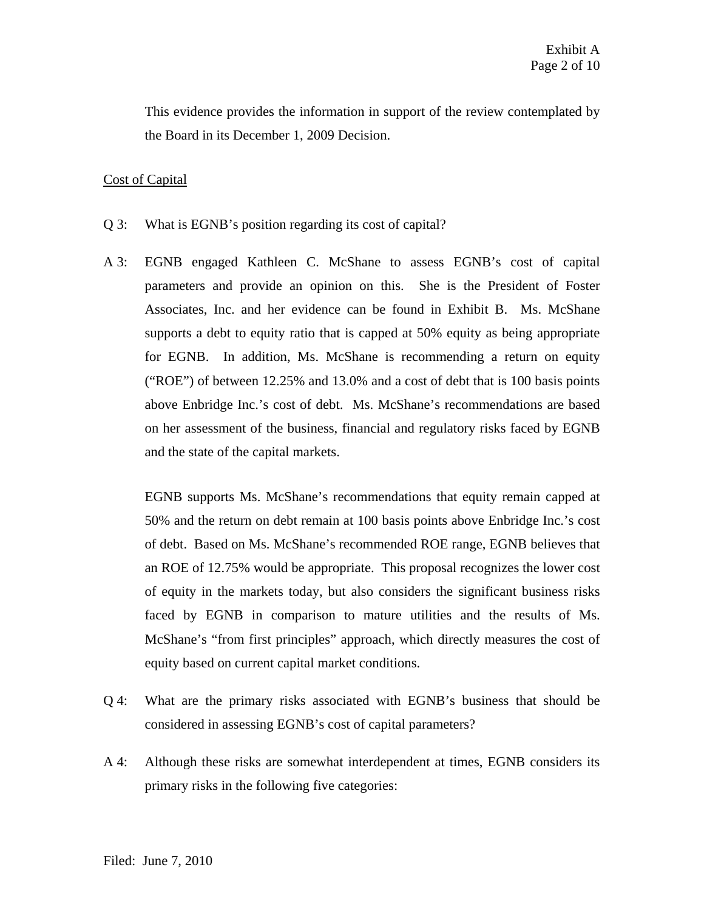This evidence provides the information in support of the review contemplated by the Board in its December 1, 2009 Decision.

## Cost of Capital

- Q 3: What is EGNB's position regarding its cost of capital?
- A 3: EGNB engaged Kathleen C. McShane to assess EGNB's cost of capital parameters and provide an opinion on this. She is the President of Foster Associates, Inc. and her evidence can be found in Exhibit B. Ms. McShane supports a debt to equity ratio that is capped at 50% equity as being appropriate for EGNB. In addition, Ms. McShane is recommending a return on equity ("ROE") of between 12.25% and 13.0% and a cost of debt that is 100 basis points above Enbridge Inc.'s cost of debt. Ms. McShane's recommendations are based on her assessment of the business, financial and regulatory risks faced by EGNB and the state of the capital markets.

EGNB supports Ms. McShane's recommendations that equity remain capped at 50% and the return on debt remain at 100 basis points above Enbridge Inc.'s cost of debt. Based on Ms. McShane's recommended ROE range, EGNB believes that an ROE of 12.75% would be appropriate. This proposal recognizes the lower cost of equity in the markets today, but also considers the significant business risks faced by EGNB in comparison to mature utilities and the results of Ms. McShane's "from first principles" approach, which directly measures the cost of equity based on current capital market conditions.

- Q 4: What are the primary risks associated with EGNB's business that should be considered in assessing EGNB's cost of capital parameters?
- A 4: Although these risks are somewhat interdependent at times, EGNB considers its primary risks in the following five categories: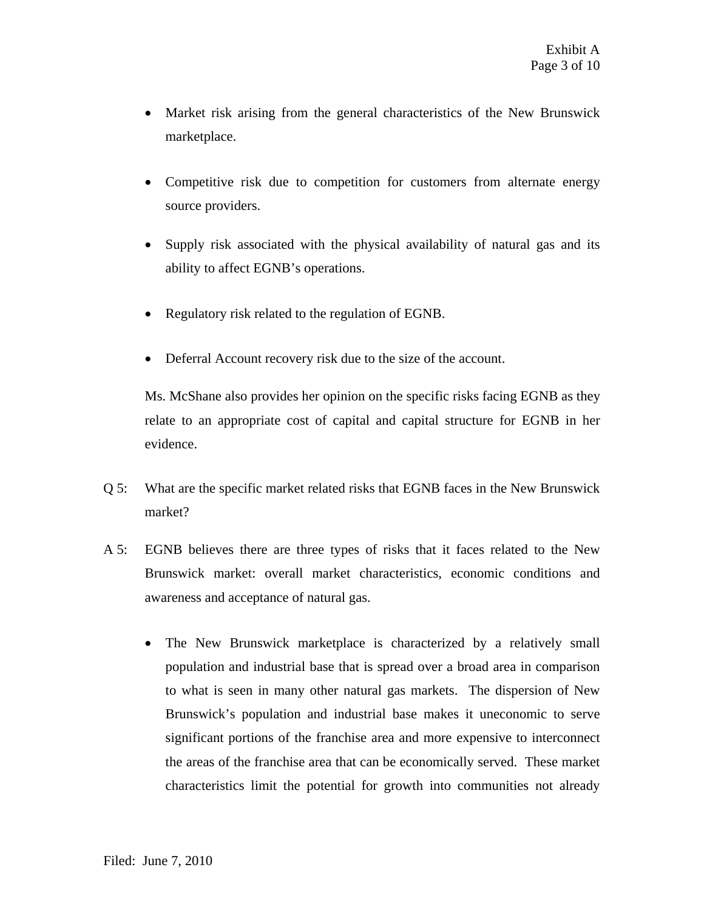- Market risk arising from the general characteristics of the New Brunswick marketplace.
- Competitive risk due to competition for customers from alternate energy source providers.
- Supply risk associated with the physical availability of natural gas and its ability to affect EGNB's operations.
- Regulatory risk related to the regulation of EGNB.
- Deferral Account recovery risk due to the size of the account.

Ms. McShane also provides her opinion on the specific risks facing EGNB as they relate to an appropriate cost of capital and capital structure for EGNB in her evidence.

- Q 5: What are the specific market related risks that EGNB faces in the New Brunswick market?
- A 5: EGNB believes there are three types of risks that it faces related to the New Brunswick market: overall market characteristics, economic conditions and awareness and acceptance of natural gas.
	- The New Brunswick marketplace is characterized by a relatively small population and industrial base that is spread over a broad area in comparison to what is seen in many other natural gas markets. The dispersion of New Brunswick's population and industrial base makes it uneconomic to serve significant portions of the franchise area and more expensive to interconnect the areas of the franchise area that can be economically served. These market characteristics limit the potential for growth into communities not already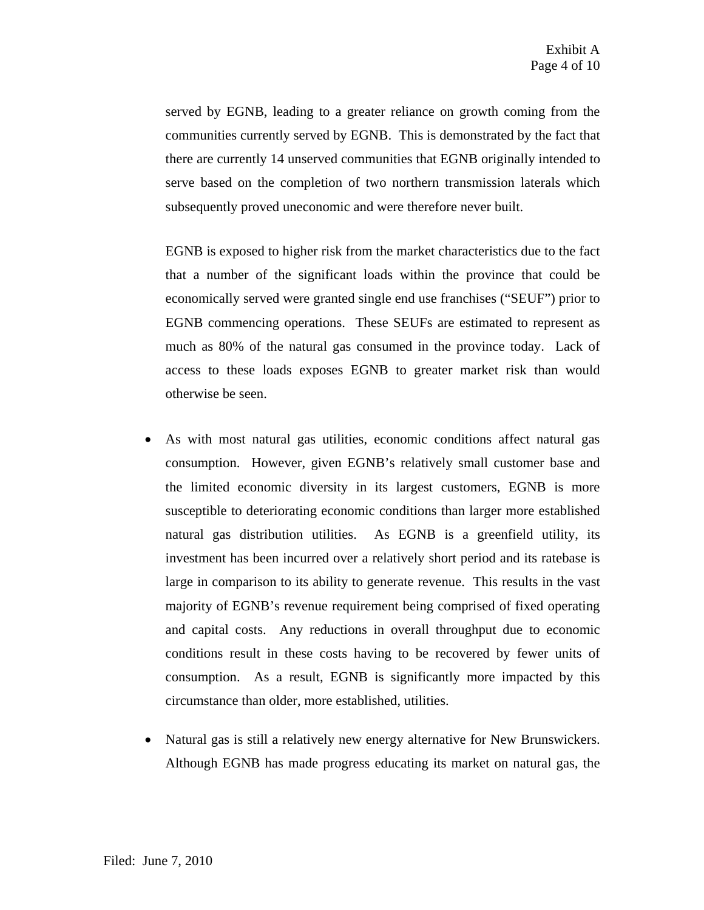served by EGNB, leading to a greater reliance on growth coming from the communities currently served by EGNB. This is demonstrated by the fact that there are currently 14 unserved communities that EGNB originally intended to serve based on the completion of two northern transmission laterals which subsequently proved uneconomic and were therefore never built.

EGNB is exposed to higher risk from the market characteristics due to the fact that a number of the significant loads within the province that could be economically served were granted single end use franchises ("SEUF") prior to EGNB commencing operations. These SEUFs are estimated to represent as much as 80% of the natural gas consumed in the province today. Lack of access to these loads exposes EGNB to greater market risk than would otherwise be seen.

- As with most natural gas utilities, economic conditions affect natural gas consumption. However, given EGNB's relatively small customer base and the limited economic diversity in its largest customers, EGNB is more susceptible to deteriorating economic conditions than larger more established natural gas distribution utilities. As EGNB is a greenfield utility, its investment has been incurred over a relatively short period and its ratebase is large in comparison to its ability to generate revenue. This results in the vast majority of EGNB's revenue requirement being comprised of fixed operating and capital costs. Any reductions in overall throughput due to economic conditions result in these costs having to be recovered by fewer units of consumption. As a result, EGNB is significantly more impacted by this circumstance than older, more established, utilities.
- Natural gas is still a relatively new energy alternative for New Brunswickers. Although EGNB has made progress educating its market on natural gas, the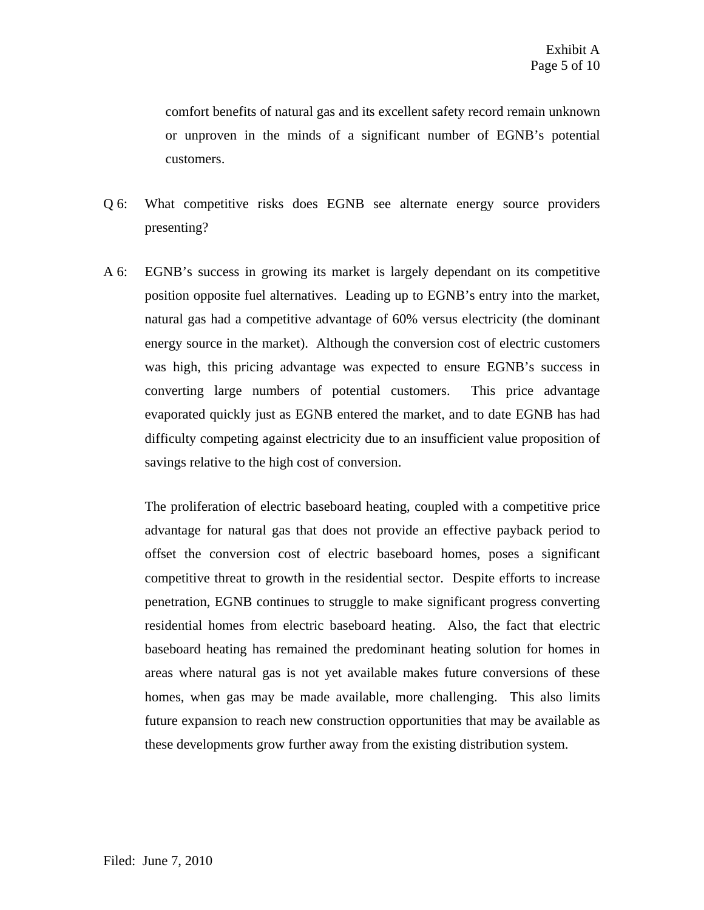comfort benefits of natural gas and its excellent safety record remain unknown or unproven in the minds of a significant number of EGNB's potential customers.

- Q 6: What competitive risks does EGNB see alternate energy source providers presenting?
- A 6: EGNB's success in growing its market is largely dependant on its competitive position opposite fuel alternatives. Leading up to EGNB's entry into the market, natural gas had a competitive advantage of 60% versus electricity (the dominant energy source in the market). Although the conversion cost of electric customers was high, this pricing advantage was expected to ensure EGNB's success in converting large numbers of potential customers. This price advantage evaporated quickly just as EGNB entered the market, and to date EGNB has had difficulty competing against electricity due to an insufficient value proposition of savings relative to the high cost of conversion.

The proliferation of electric baseboard heating, coupled with a competitive price advantage for natural gas that does not provide an effective payback period to offset the conversion cost of electric baseboard homes, poses a significant competitive threat to growth in the residential sector. Despite efforts to increase penetration, EGNB continues to struggle to make significant progress converting residential homes from electric baseboard heating. Also, the fact that electric baseboard heating has remained the predominant heating solution for homes in areas where natural gas is not yet available makes future conversions of these homes, when gas may be made available, more challenging. This also limits future expansion to reach new construction opportunities that may be available as these developments grow further away from the existing distribution system.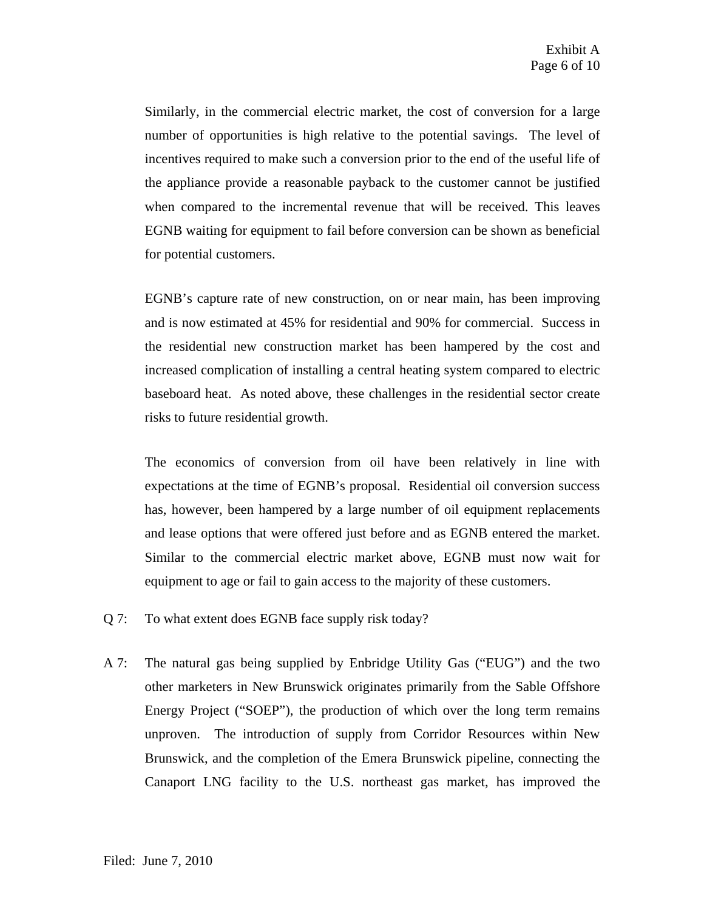Similarly, in the commercial electric market, the cost of conversion for a large number of opportunities is high relative to the potential savings. The level of incentives required to make such a conversion prior to the end of the useful life of the appliance provide a reasonable payback to the customer cannot be justified when compared to the incremental revenue that will be received. This leaves EGNB waiting for equipment to fail before conversion can be shown as beneficial for potential customers.

EGNB's capture rate of new construction, on or near main, has been improving and is now estimated at 45% for residential and 90% for commercial. Success in the residential new construction market has been hampered by the cost and increased complication of installing a central heating system compared to electric baseboard heat. As noted above, these challenges in the residential sector create risks to future residential growth.

The economics of conversion from oil have been relatively in line with expectations at the time of EGNB's proposal. Residential oil conversion success has, however, been hampered by a large number of oil equipment replacements and lease options that were offered just before and as EGNB entered the market. Similar to the commercial electric market above, EGNB must now wait for equipment to age or fail to gain access to the majority of these customers.

- Q 7: To what extent does EGNB face supply risk today?
- A 7: The natural gas being supplied by Enbridge Utility Gas ("EUG") and the two other marketers in New Brunswick originates primarily from the Sable Offshore Energy Project ("SOEP"), the production of which over the long term remains unproven. The introduction of supply from Corridor Resources within New Brunswick, and the completion of the Emera Brunswick pipeline, connecting the Canaport LNG facility to the U.S. northeast gas market, has improved the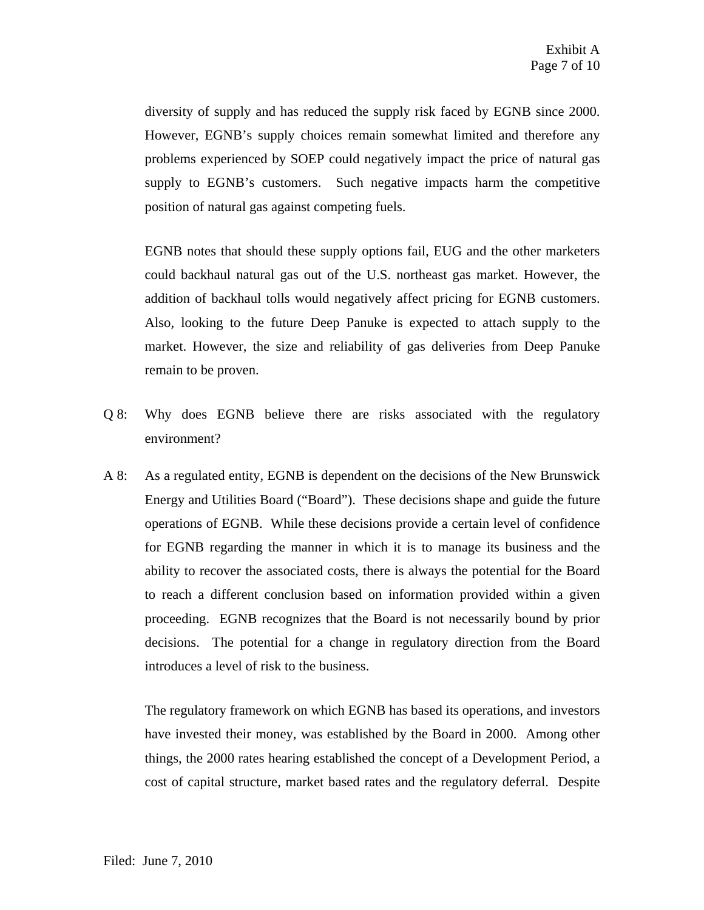diversity of supply and has reduced the supply risk faced by EGNB since 2000. However, EGNB's supply choices remain somewhat limited and therefore any problems experienced by SOEP could negatively impact the price of natural gas supply to EGNB's customers. Such negative impacts harm the competitive position of natural gas against competing fuels.

EGNB notes that should these supply options fail, EUG and the other marketers could backhaul natural gas out of the U.S. northeast gas market. However, the addition of backhaul tolls would negatively affect pricing for EGNB customers. Also, looking to the future Deep Panuke is expected to attach supply to the market. However, the size and reliability of gas deliveries from Deep Panuke remain to be proven.

- Q 8: Why does EGNB believe there are risks associated with the regulatory environment?
- A 8: As a regulated entity, EGNB is dependent on the decisions of the New Brunswick Energy and Utilities Board ("Board"). These decisions shape and guide the future operations of EGNB. While these decisions provide a certain level of confidence for EGNB regarding the manner in which it is to manage its business and the ability to recover the associated costs, there is always the potential for the Board to reach a different conclusion based on information provided within a given proceeding. EGNB recognizes that the Board is not necessarily bound by prior decisions. The potential for a change in regulatory direction from the Board introduces a level of risk to the business.

The regulatory framework on which EGNB has based its operations, and investors have invested their money, was established by the Board in 2000. Among other things, the 2000 rates hearing established the concept of a Development Period, a cost of capital structure, market based rates and the regulatory deferral. Despite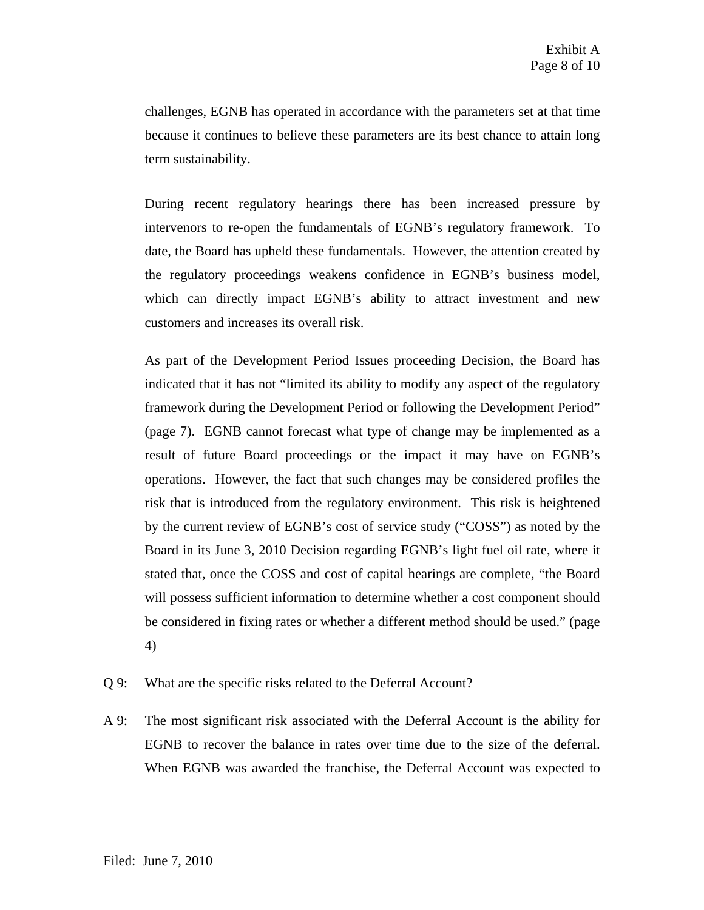challenges, EGNB has operated in accordance with the parameters set at that time because it continues to believe these parameters are its best chance to attain long term sustainability.

During recent regulatory hearings there has been increased pressure by intervenors to re-open the fundamentals of EGNB's regulatory framework. To date, the Board has upheld these fundamentals. However, the attention created by the regulatory proceedings weakens confidence in EGNB's business model, which can directly impact EGNB's ability to attract investment and new customers and increases its overall risk.

As part of the Development Period Issues proceeding Decision, the Board has indicated that it has not "limited its ability to modify any aspect of the regulatory framework during the Development Period or following the Development Period" (page 7). EGNB cannot forecast what type of change may be implemented as a result of future Board proceedings or the impact it may have on EGNB's operations. However, the fact that such changes may be considered profiles the risk that is introduced from the regulatory environment. This risk is heightened by the current review of EGNB's cost of service study ("COSS") as noted by the Board in its June 3, 2010 Decision regarding EGNB's light fuel oil rate, where it stated that, once the COSS and cost of capital hearings are complete, "the Board will possess sufficient information to determine whether a cost component should be considered in fixing rates or whether a different method should be used." (page 4)

- Q 9: What are the specific risks related to the Deferral Account?
- A 9: The most significant risk associated with the Deferral Account is the ability for EGNB to recover the balance in rates over time due to the size of the deferral. When EGNB was awarded the franchise, the Deferral Account was expected to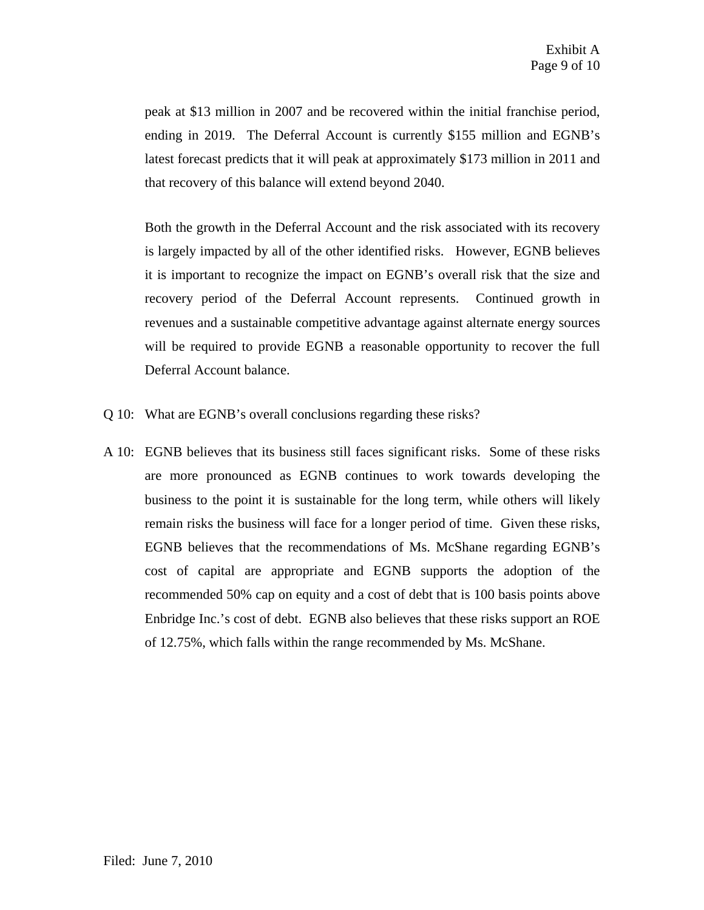peak at \$13 million in 2007 and be recovered within the initial franchise period, ending in 2019. The Deferral Account is currently \$155 million and EGNB's latest forecast predicts that it will peak at approximately \$173 million in 2011 and that recovery of this balance will extend beyond 2040.

Both the growth in the Deferral Account and the risk associated with its recovery is largely impacted by all of the other identified risks. However, EGNB believes it is important to recognize the impact on EGNB's overall risk that the size and recovery period of the Deferral Account represents. Continued growth in revenues and a sustainable competitive advantage against alternate energy sources will be required to provide EGNB a reasonable opportunity to recover the full Deferral Account balance.

- Q 10: What are EGNB's overall conclusions regarding these risks?
- A 10: EGNB believes that its business still faces significant risks. Some of these risks are more pronounced as EGNB continues to work towards developing the business to the point it is sustainable for the long term, while others will likely remain risks the business will face for a longer period of time. Given these risks, EGNB believes that the recommendations of Ms. McShane regarding EGNB's cost of capital are appropriate and EGNB supports the adoption of the recommended 50% cap on equity and a cost of debt that is 100 basis points above Enbridge Inc.'s cost of debt. EGNB also believes that these risks support an ROE of 12.75%, which falls within the range recommended by Ms. McShane.